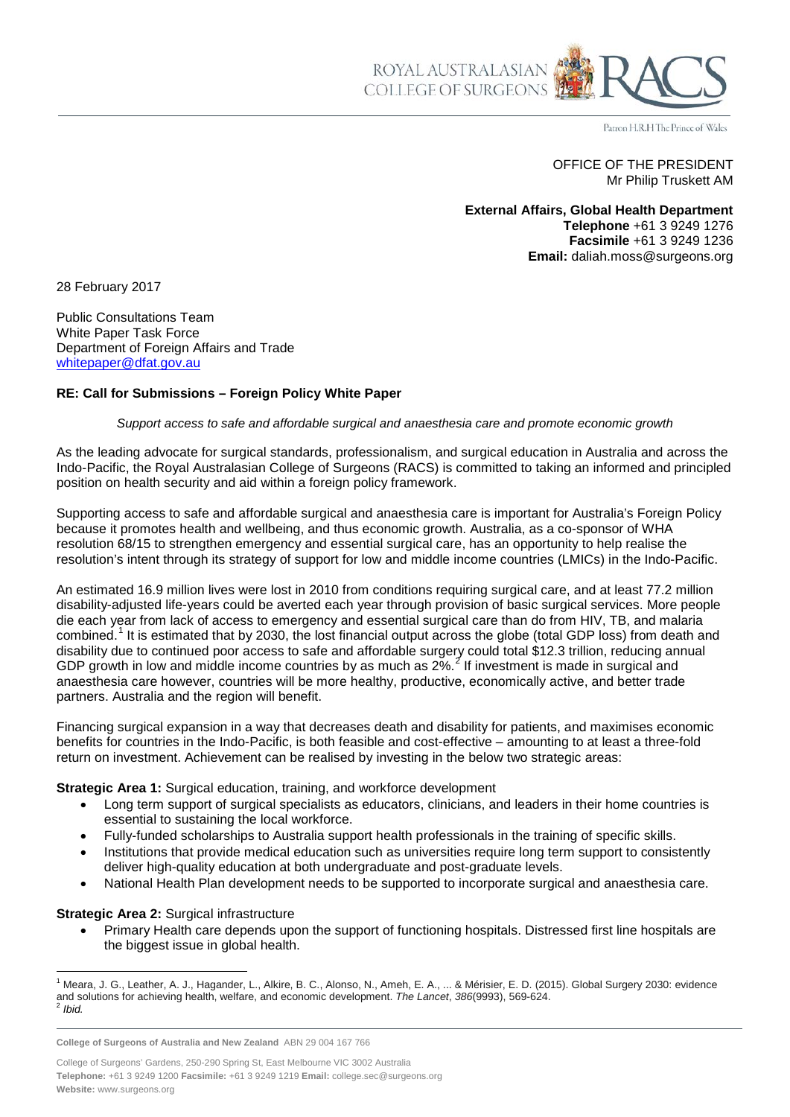

Patron H.R.H The Prince of Wales

OFFICE OF THE PRESIDENT Mr Philip Truskett AM

**External Affairs, Global Health Department Telephone** +61 3 9249 1276 **Facsimile** +61 3 9249 1236 **Email:** daliah.moss@surgeons.org

28 February 2017

Public Consultations Team White Paper Task Force Department of Foreign Affairs and Trade [whitepaper@dfat.gov.au](mailto:whitepaper@dfat.gov.au)

## **RE: Call for Submissions – Foreign Policy White Paper**

*Support access to safe and affordable surgical and anaesthesia care and promote economic growth*

As the leading advocate for surgical standards, professionalism, and surgical education in Australia and across the Indo-Pacific, the Royal Australasian College of Surgeons (RACS) is committed to taking an informed and principled position on health security and aid within a foreign policy framework.

Supporting access to safe and affordable surgical and anaesthesia care is important for Australia's Foreign Policy because it promotes health and wellbeing, and thus economic growth. Australia, as a co-sponsor of WHA resolution 68/15 to strengthen emergency and essential surgical care, has an opportunity to help realise the resolution's intent through its strategy of support for low and middle income countries (LMICs) in the Indo-Pacific.

An estimated 16.9 million lives were lost in 2010 from conditions requiring surgical care, and at least 77.2 million disability-adjusted life-years could be averted each year through provision of basic surgical services. More people die each year from lack of access to emergency and essential surgical care than do from HIV, TB, and malaria combined.<sup>[1](#page-0-0)</sup> It is estimated that by 2030, the lost financial output across the globe (total GDP loss) from death and disability due to continued poor access to safe and affordable surgery could total \$12.3 trillion, reducing annual GDP growth in low and middle income countries by as much as  $2\%$  $2\%$ <sup>2</sup> If investment is made in surgical and anaesthesia care however, countries will be more healthy, productive, economically active, and better trade partners. Australia and the region will benefit.

Financing surgical expansion in a way that decreases death and disability for patients, and maximises economic benefits for countries in the Indo-Pacific, is both feasible and cost-effective – amounting to at least a three-fold return on investment. Achievement can be realised by investing in the below two strategic areas:

**Strategic Area 1:** Surgical education, training, and workforce development

- Long term support of surgical specialists as educators, clinicians, and leaders in their home countries is essential to sustaining the local workforce.
- Fully-funded scholarships to Australia support health professionals in the training of specific skills.
- Institutions that provide medical education such as universities require long term support to consistently deliver high-quality education at both undergraduate and post-graduate levels.
- National Health Plan development needs to be supported to incorporate surgical and anaesthesia care.

## **Strategic Area 2:** Surgical infrastructure

 $\overline{a}$ 

• Primary Health care depends upon the support of functioning hospitals. Distressed first line hospitals are the biggest issue in global health.

<span id="page-0-1"></span><span id="page-0-0"></span><sup>&</sup>lt;sup>1</sup> Meara, J. G., Leather, A. J., Hagander, L., Alkire, B. C., Alonso, N., Ameh, E. A., ... & Mérisier, E. D. (2015). Global Surgery 2030: evidence and solutions for achieving health, welfare, and economic development. *The Lancet*, *<sup>386</sup>*(9993), 569-624. <sup>2</sup> *Ibid.*

**College of Surgeons of Australia and New Zealand** ABN 29 004 167 766